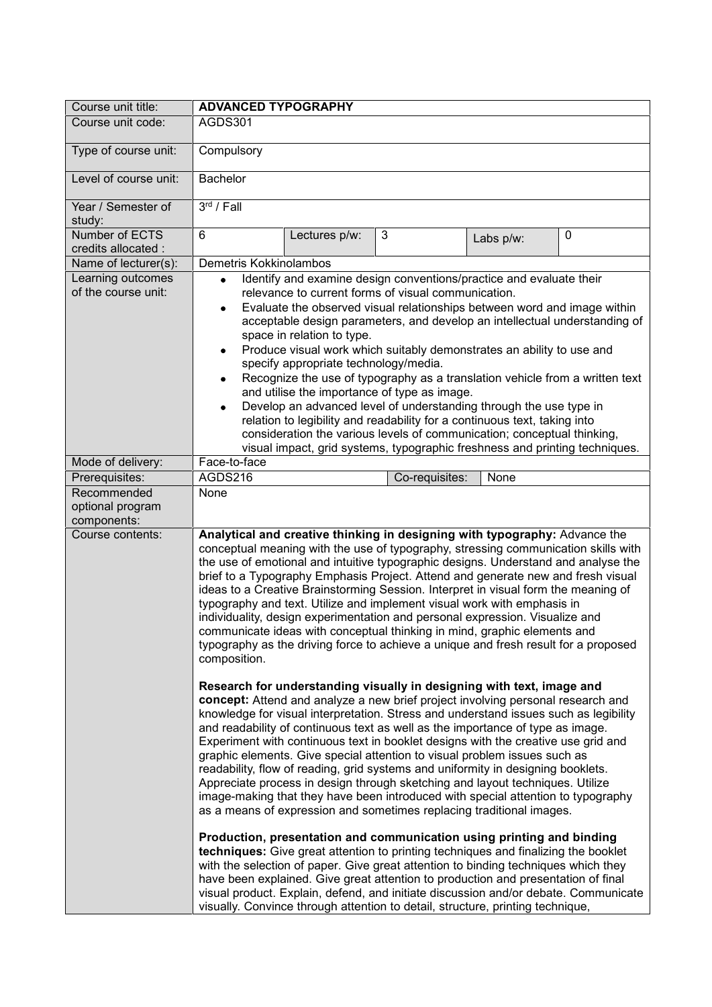| Course unit title:                             | <b>ADVANCED TYPOGRAPHY</b>                                                                                                                                                                                                                                                                                                                                                                                                                                                                                                                                                                                                                                                                                                                                                                                                                                                                                                                                                                                                                                                                                           |
|------------------------------------------------|----------------------------------------------------------------------------------------------------------------------------------------------------------------------------------------------------------------------------------------------------------------------------------------------------------------------------------------------------------------------------------------------------------------------------------------------------------------------------------------------------------------------------------------------------------------------------------------------------------------------------------------------------------------------------------------------------------------------------------------------------------------------------------------------------------------------------------------------------------------------------------------------------------------------------------------------------------------------------------------------------------------------------------------------------------------------------------------------------------------------|
| Course unit code:                              | AGDS301                                                                                                                                                                                                                                                                                                                                                                                                                                                                                                                                                                                                                                                                                                                                                                                                                                                                                                                                                                                                                                                                                                              |
| Type of course unit:                           | Compulsory                                                                                                                                                                                                                                                                                                                                                                                                                                                                                                                                                                                                                                                                                                                                                                                                                                                                                                                                                                                                                                                                                                           |
| Level of course unit:                          | <b>Bachelor</b>                                                                                                                                                                                                                                                                                                                                                                                                                                                                                                                                                                                                                                                                                                                                                                                                                                                                                                                                                                                                                                                                                                      |
| Year / Semester of<br>study:                   | 3 <sup>rd</sup> / Fall                                                                                                                                                                                                                                                                                                                                                                                                                                                                                                                                                                                                                                                                                                                                                                                                                                                                                                                                                                                                                                                                                               |
| Number of ECTS<br>credits allocated :          | 6<br>$\mathbf{3}$<br>$\mathbf 0$<br>Lectures p/w:<br>Labs p/w:                                                                                                                                                                                                                                                                                                                                                                                                                                                                                                                                                                                                                                                                                                                                                                                                                                                                                                                                                                                                                                                       |
| Name of lecturer(s):                           | Demetris Kokkinolambos                                                                                                                                                                                                                                                                                                                                                                                                                                                                                                                                                                                                                                                                                                                                                                                                                                                                                                                                                                                                                                                                                               |
| Learning outcomes<br>of the course unit:       | Identify and examine design conventions/practice and evaluate their<br>$\bullet$<br>relevance to current forms of visual communication.<br>Evaluate the observed visual relationships between word and image within<br>٠<br>acceptable design parameters, and develop an intellectual understanding of<br>space in relation to type.<br>Produce visual work which suitably demonstrates an ability to use and<br>٠<br>specify appropriate technology/media.<br>Recognize the use of typography as a translation vehicle from a written text<br>$\bullet$<br>and utilise the importance of type as image.<br>Develop an advanced level of understanding through the use type in<br>$\bullet$<br>relation to legibility and readability for a continuous text, taking into<br>consideration the various levels of communication; conceptual thinking,<br>visual impact, grid systems, typographic freshness and printing techniques.                                                                                                                                                                                   |
| Mode of delivery:                              | Face-to-face                                                                                                                                                                                                                                                                                                                                                                                                                                                                                                                                                                                                                                                                                                                                                                                                                                                                                                                                                                                                                                                                                                         |
| Prerequisites:                                 | AGDS216<br>Co-requisites:<br>None                                                                                                                                                                                                                                                                                                                                                                                                                                                                                                                                                                                                                                                                                                                                                                                                                                                                                                                                                                                                                                                                                    |
| Recommended<br>optional program<br>components: | None                                                                                                                                                                                                                                                                                                                                                                                                                                                                                                                                                                                                                                                                                                                                                                                                                                                                                                                                                                                                                                                                                                                 |
| Course contents:                               | Analytical and creative thinking in designing with typography: Advance the<br>conceptual meaning with the use of typography, stressing communication skills with<br>the use of emotional and intuitive typographic designs. Understand and analyse the<br>brief to a Typography Emphasis Project. Attend and generate new and fresh visual<br>ideas to a Creative Brainstorming Session. Interpret in visual form the meaning of<br>typography and text. Utilize and implement visual work with emphasis in<br>individuality, design experimentation and personal expression. Visualize and<br>communicate ideas with conceptual thinking in mind, graphic elements and<br>typography as the driving force to achieve a unique and fresh result for a proposed<br>composition.<br>Research for understanding visually in designing with text, image and<br>concept: Attend and analyze a new brief project involving personal research and<br>knowledge for visual interpretation. Stress and understand issues such as legibility<br>and readability of continuous text as well as the importance of type as image. |
|                                                | Experiment with continuous text in booklet designs with the creative use grid and<br>graphic elements. Give special attention to visual problem issues such as<br>readability, flow of reading, grid systems and uniformity in designing booklets.<br>Appreciate process in design through sketching and layout techniques. Utilize<br>image-making that they have been introduced with special attention to typography<br>as a means of expression and sometimes replacing traditional images.<br>Production, presentation and communication using printing and binding<br>techniques: Give great attention to printing techniques and finalizing the booklet<br>with the selection of paper. Give great attention to binding techniques which they<br>have been explained. Give great attention to production and presentation of final<br>visual product. Explain, defend, and initiate discussion and/or debate. Communicate<br>visually. Convince through attention to detail, structure, printing technique,                                                                                                   |